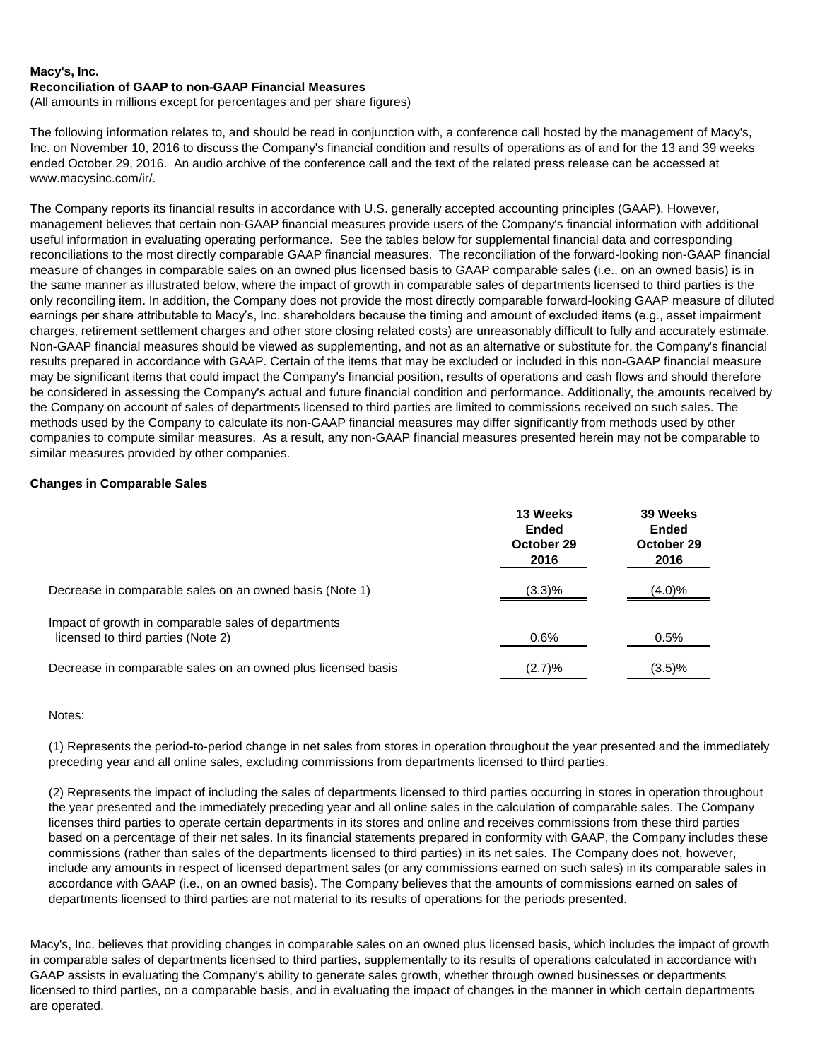(All amounts in millions except for percentages and per share figures)

The following information relates to, and should be read in conjunction with, a conference call hosted by the management of Macy's, Inc. on November 10, 2016 to discuss the Company's financial condition and results of operations as of and for the 13 and 39 weeks ended October 29, 2016. An audio archive of the conference call and the text of the related press release can be accessed at www.macysinc.com/ir/.

The Company reports its financial results in accordance with U.S. generally accepted accounting principles (GAAP). However, management believes that certain non-GAAP financial measures provide users of the Company's financial information with additional useful information in evaluating operating performance. See the tables below for supplemental financial data and corresponding reconciliations to the most directly comparable GAAP financial measures. The reconciliation of the forward-looking non-GAAP financial measure of changes in comparable sales on an owned plus licensed basis to GAAP comparable sales (i.e., on an owned basis) is in the same manner as illustrated below, where the impact of growth in comparable sales of departments licensed to third parties is the only reconciling item. In addition, the Company does not provide the most directly comparable forward-looking GAAP measure of diluted earnings per share attributable to Macy's, Inc. shareholders because the timing and amount of excluded items (e.g., asset impairment charges, retirement settlement charges and other store closing related costs) are unreasonably difficult to fully and accurately estimate. Non-GAAP financial measures should be viewed as supplementing, and not as an alternative or substitute for, the Company's financial results prepared in accordance with GAAP. Certain of the items that may be excluded or included in this non-GAAP financial measure may be significant items that could impact the Company's financial position, results of operations and cash flows and should therefore be considered in assessing the Company's actual and future financial condition and performance. Additionally, the amounts received by the Company on account of sales of departments licensed to third parties are limited to commissions received on such sales. The methods used by the Company to calculate its non-GAAP financial measures may differ significantly from methods used by other companies to compute similar measures. As a result, any non-GAAP financial measures presented herein may not be comparable to similar measures provided by other companies.

# **Changes in Comparable Sales**

|                                                                                           | 13 Weeks<br><b>Ended</b><br>October 29<br>2016 | 39 Weeks<br><b>Ended</b><br>October 29<br>2016 |
|-------------------------------------------------------------------------------------------|------------------------------------------------|------------------------------------------------|
| Decrease in comparable sales on an owned basis (Note 1)                                   | $(3.3)\%$                                      | (4.0)%                                         |
| Impact of growth in comparable sales of departments<br>licensed to third parties (Note 2) | 0.6%                                           | 0.5%                                           |
| Decrease in comparable sales on an owned plus licensed basis                              | (2.7)%                                         | (3.5)%                                         |

## Notes:

(1) Represents the period-to-period change in net sales from stores in operation throughout the year presented and the immediately preceding year and all online sales, excluding commissions from departments licensed to third parties.

(2) Represents the impact of including the sales of departments licensed to third parties occurring in stores in operation throughout the year presented and the immediately preceding year and all online sales in the calculation of comparable sales. The Company licenses third parties to operate certain departments in its stores and online and receives commissions from these third parties based on a percentage of their net sales. In its financial statements prepared in conformity with GAAP, the Company includes these commissions (rather than sales of the departments licensed to third parties) in its net sales. The Company does not, however, include any amounts in respect of licensed department sales (or any commissions earned on such sales) in its comparable sales in accordance with GAAP (i.e., on an owned basis). The Company believes that the amounts of commissions earned on sales of departments licensed to third parties are not material to its results of operations for the periods presented.

Macy's, Inc. believes that providing changes in comparable sales on an owned plus licensed basis, which includes the impact of growth in comparable sales of departments licensed to third parties, supplementally to its results of operations calculated in accordance with GAAP assists in evaluating the Company's ability to generate sales growth, whether through owned businesses or departments licensed to third parties, on a comparable basis, and in evaluating the impact of changes in the manner in which certain departments are operated.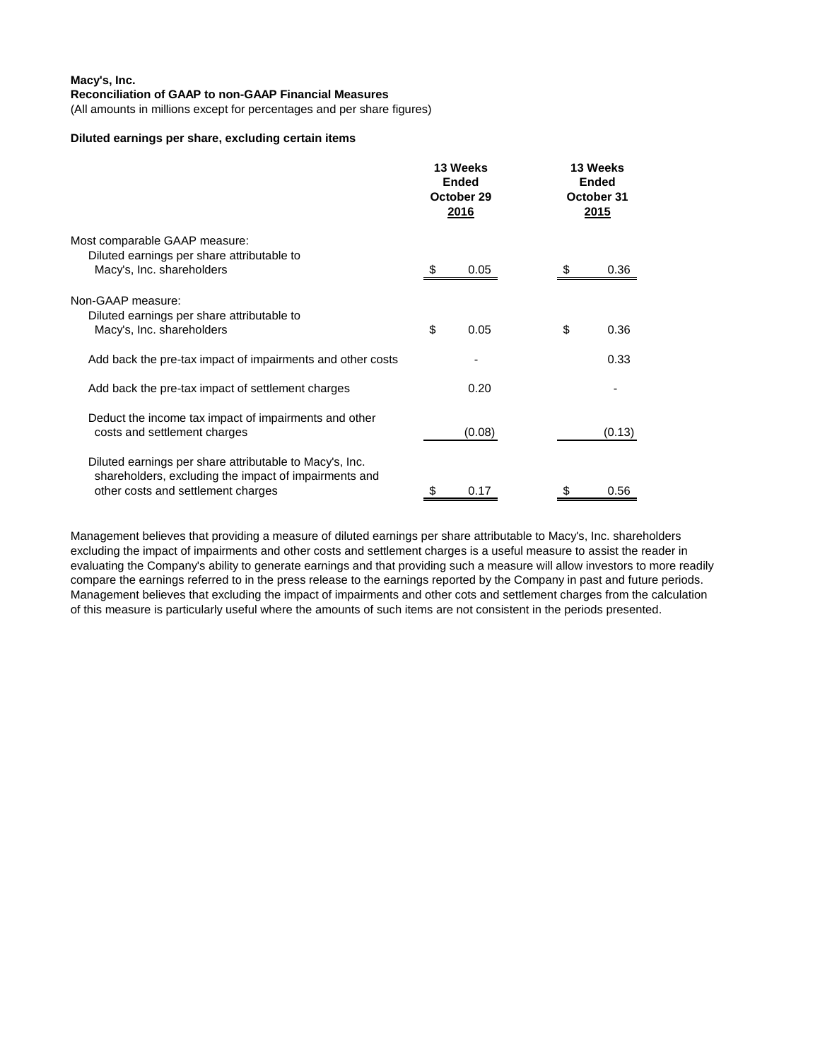(All amounts in millions except for percentages and per share figures)

#### **Diluted earnings per share, excluding certain items**

|                                                                                                                                                        |    | 13 Weeks<br><b>Ended</b><br>October 29<br><u> 2016</u> |  | 13 Weeks<br><b>Ended</b><br>October 31<br><u>2015</u> |        |
|--------------------------------------------------------------------------------------------------------------------------------------------------------|----|--------------------------------------------------------|--|-------------------------------------------------------|--------|
| Most comparable GAAP measure:<br>Diluted earnings per share attributable to                                                                            |    |                                                        |  |                                                       |        |
| Macy's, Inc. shareholders                                                                                                                              |    | 0.05                                                   |  |                                                       | 0.36   |
| Non-GAAP measure:<br>Diluted earnings per share attributable to                                                                                        |    |                                                        |  |                                                       |        |
| Macy's, Inc. shareholders                                                                                                                              | \$ | 0.05                                                   |  | \$                                                    | 0.36   |
| Add back the pre-tax impact of impairments and other costs                                                                                             |    |                                                        |  |                                                       | 0.33   |
| Add back the pre-tax impact of settlement charges                                                                                                      |    | 0.20                                                   |  |                                                       |        |
| Deduct the income tax impact of impairments and other<br>costs and settlement charges                                                                  |    | (0.08)                                                 |  |                                                       | (0.13) |
| Diluted earnings per share attributable to Macy's, Inc.<br>shareholders, excluding the impact of impairments and<br>other costs and settlement charges | \$ | 0.17                                                   |  | S                                                     | 0.56   |

Management believes that providing a measure of diluted earnings per share attributable to Macy's, Inc. shareholders excluding the impact of impairments and other costs and settlement charges is a useful measure to assist the reader in evaluating the Company's ability to generate earnings and that providing such a measure will allow investors to more readily compare the earnings referred to in the press release to the earnings reported by the Company in past and future periods. Management believes that excluding the impact of impairments and other cots and settlement charges from the calculation of this measure is particularly useful where the amounts of such items are not consistent in the periods presented.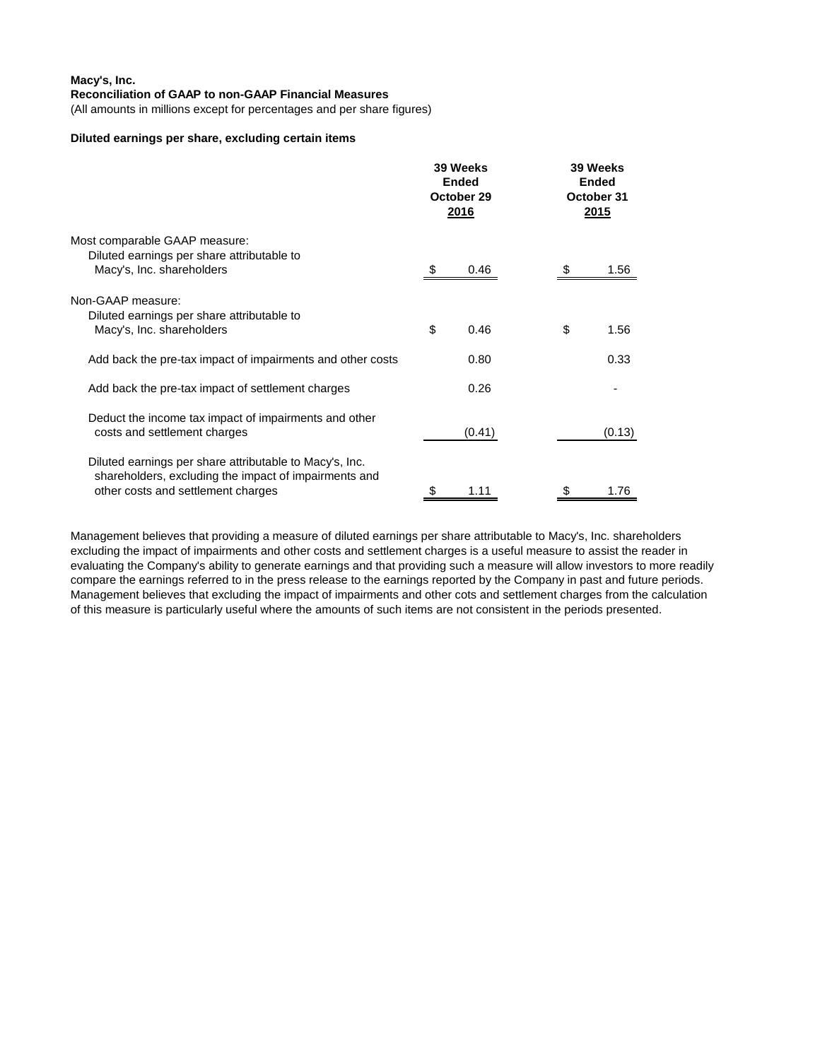(All amounts in millions except for percentages and per share figures)

#### **Diluted earnings per share, excluding certain items**

|                                                                                                                                                        |    | 39 Weeks<br><b>Ended</b><br>October 29<br><u> 2016</u> |    | 39 Weeks<br><b>Ended</b><br>October 31<br><u>2015</u> |  |
|--------------------------------------------------------------------------------------------------------------------------------------------------------|----|--------------------------------------------------------|----|-------------------------------------------------------|--|
| Most comparable GAAP measure:                                                                                                                          |    |                                                        |    |                                                       |  |
| Diluted earnings per share attributable to<br>Macy's, Inc. shareholders                                                                                |    | 0.46                                                   |    | 1.56                                                  |  |
| Non-GAAP measure:                                                                                                                                      |    |                                                        |    |                                                       |  |
| Diluted earnings per share attributable to<br>Macy's, Inc. shareholders                                                                                | \$ | 0.46                                                   | \$ | 1.56                                                  |  |
| Add back the pre-tax impact of impairments and other costs                                                                                             |    | 0.80                                                   |    | 0.33                                                  |  |
| Add back the pre-tax impact of settlement charges                                                                                                      |    | 0.26                                                   |    |                                                       |  |
| Deduct the income tax impact of impairments and other<br>costs and settlement charges                                                                  |    | (0.41)                                                 |    | (0.13)                                                |  |
| Diluted earnings per share attributable to Macy's, Inc.<br>shareholders, excluding the impact of impairments and<br>other costs and settlement charges | \$ | 1.11                                                   | S  | 1.76                                                  |  |

Management believes that providing a measure of diluted earnings per share attributable to Macy's, Inc. shareholders excluding the impact of impairments and other costs and settlement charges is a useful measure to assist the reader in evaluating the Company's ability to generate earnings and that providing such a measure will allow investors to more readily compare the earnings referred to in the press release to the earnings reported by the Company in past and future periods. Management believes that excluding the impact of impairments and other cots and settlement charges from the calculation of this measure is particularly useful where the amounts of such items are not consistent in the periods presented.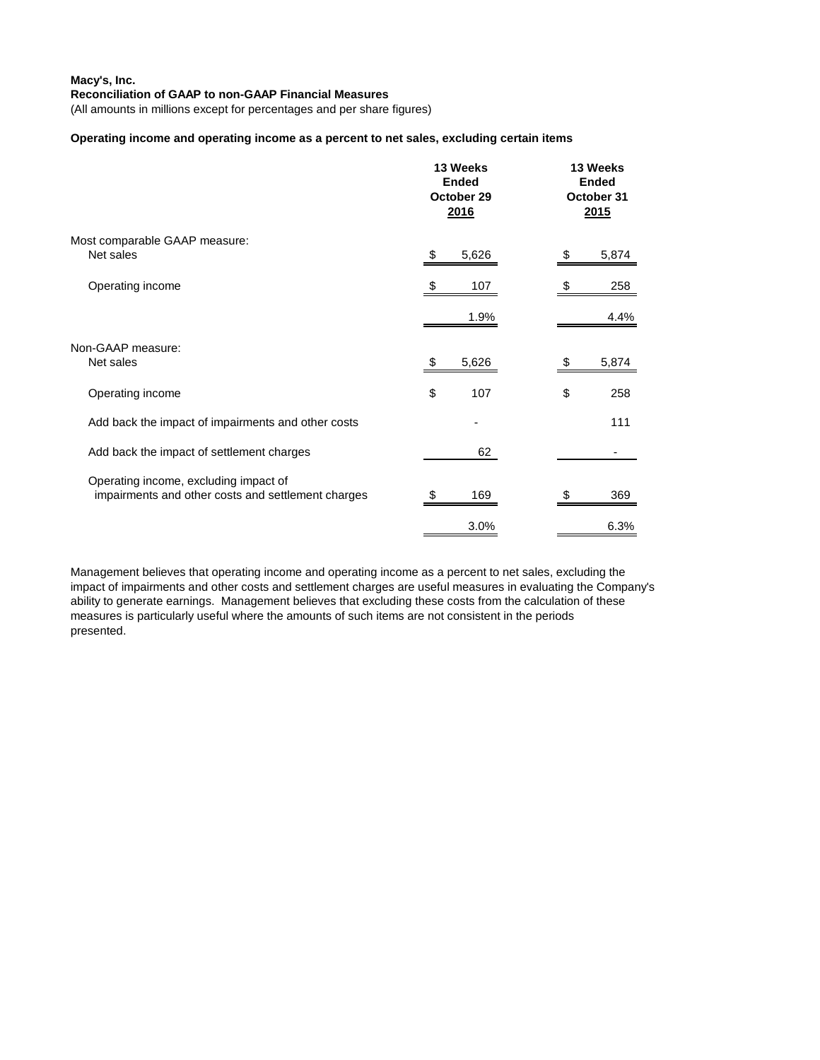(All amounts in millions except for percentages and per share figures)

# **Operating income and operating income as a percent to net sales, excluding certain items**

|                                                                                             | 13 Weeks<br><b>Ended</b><br>October 29<br>2016 |       | 13 Weeks<br><b>Ended</b><br>October 31<br>2015 |       |
|---------------------------------------------------------------------------------------------|------------------------------------------------|-------|------------------------------------------------|-------|
| Most comparable GAAP measure:<br>Net sales                                                  | S                                              | 5,626 |                                                | 5,874 |
| Operating income                                                                            |                                                | 107   |                                                | 258   |
|                                                                                             |                                                | 1.9%  |                                                | 4.4%  |
| Non-GAAP measure:<br>Net sales                                                              |                                                | 5,626 |                                                | 5,874 |
| Operating income                                                                            | \$                                             | 107   | \$                                             | 258   |
| Add back the impact of impairments and other costs                                          |                                                |       |                                                | 111   |
| Add back the impact of settlement charges                                                   |                                                | 62    |                                                |       |
| Operating income, excluding impact of<br>impairments and other costs and settlement charges | \$                                             | 169   |                                                | 369   |
|                                                                                             |                                                | 3.0%  |                                                | 6.3%  |

Management believes that operating income and operating income as a percent to net sales, excluding the impact of impairments and other costs and settlement charges are useful measures in evaluating the Company's ability to generate earnings. Management believes that excluding these costs from the calculation of these measures is particularly useful where the amounts of such items are not consistent in the periods presented.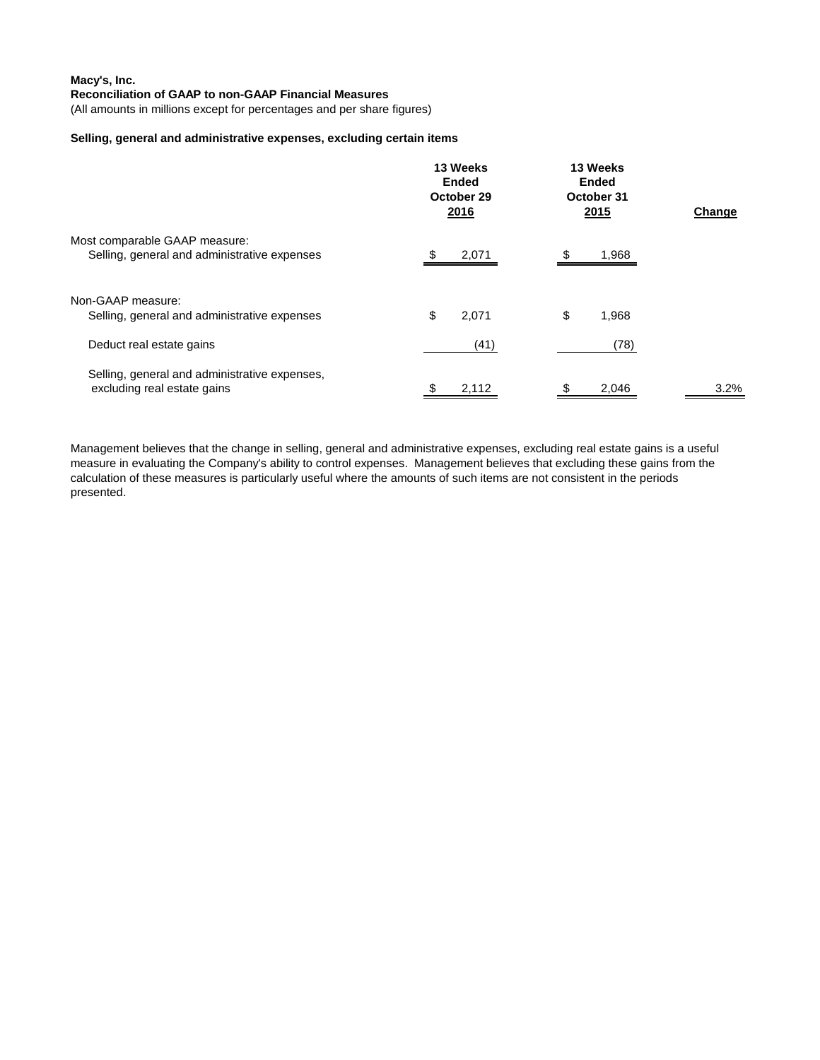(All amounts in millions except for percentages and per share figures)

## **Selling, general and administrative expenses, excluding certain items**

|                                                                               | 13 Weeks<br><b>Ended</b><br>October 29<br>2016 | 13 Weeks<br><b>Ended</b><br>October 31<br>2015 | Change  |  |
|-------------------------------------------------------------------------------|------------------------------------------------|------------------------------------------------|---------|--|
| Most comparable GAAP measure:<br>Selling, general and administrative expenses | 2,071                                          | 1,968                                          |         |  |
| Non-GAAP measure:<br>Selling, general and administrative expenses             | \$<br>2,071                                    | \$<br>1,968                                    |         |  |
| Deduct real estate gains                                                      | (41)                                           | (78)                                           |         |  |
| Selling, general and administrative expenses,<br>excluding real estate gains  | 2,112                                          | 2,046                                          | $3.2\%$ |  |

Management believes that the change in selling, general and administrative expenses, excluding real estate gains is a useful measure in evaluating the Company's ability to control expenses. Management believes that excluding these gains from the calculation of these measures is particularly useful where the amounts of such items are not consistent in the periods presented.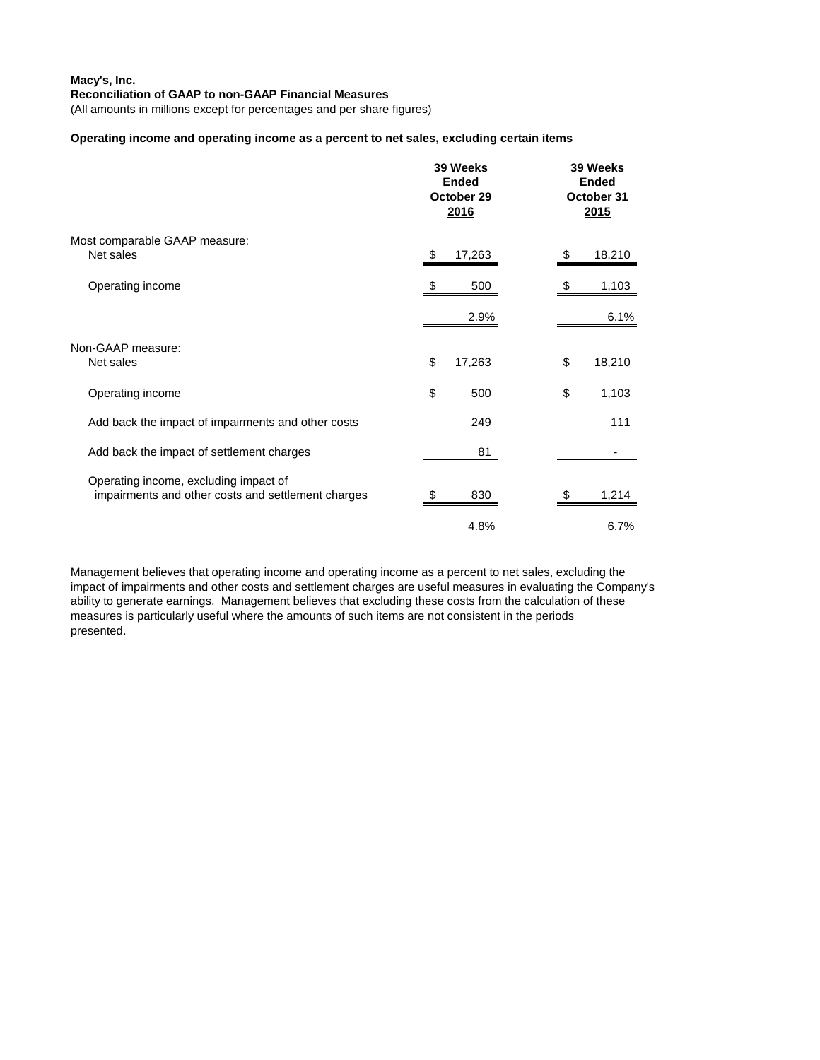(All amounts in millions except for percentages and per share figures)

# **Operating income and operating income as a percent to net sales, excluding certain items**

|                                                                                             | 39 Weeks<br><b>Ended</b><br>October 29<br><u>2016</u> | 39 Weeks<br><b>Ended</b><br>October 31<br>2015 |  |
|---------------------------------------------------------------------------------------------|-------------------------------------------------------|------------------------------------------------|--|
| Most comparable GAAP measure:<br>Net sales                                                  | 17,263<br>S                                           | 18,210                                         |  |
| Operating income                                                                            | 500                                                   | 1,103                                          |  |
|                                                                                             | 2.9%                                                  | 6.1%                                           |  |
| Non-GAAP measure:<br>Net sales                                                              | 17,263                                                | 18,210                                         |  |
| Operating income                                                                            | \$<br>500                                             | \$<br>1,103                                    |  |
| Add back the impact of impairments and other costs                                          | 249                                                   | 111                                            |  |
| Add back the impact of settlement charges                                                   | 81                                                    |                                                |  |
| Operating income, excluding impact of<br>impairments and other costs and settlement charges | 830<br>S                                              | 1,214<br>\$.                                   |  |
|                                                                                             | 4.8%                                                  | 6.7%                                           |  |

Management believes that operating income and operating income as a percent to net sales, excluding the impact of impairments and other costs and settlement charges are useful measures in evaluating the Company's ability to generate earnings. Management believes that excluding these costs from the calculation of these measures is particularly useful where the amounts of such items are not consistent in the periods presented.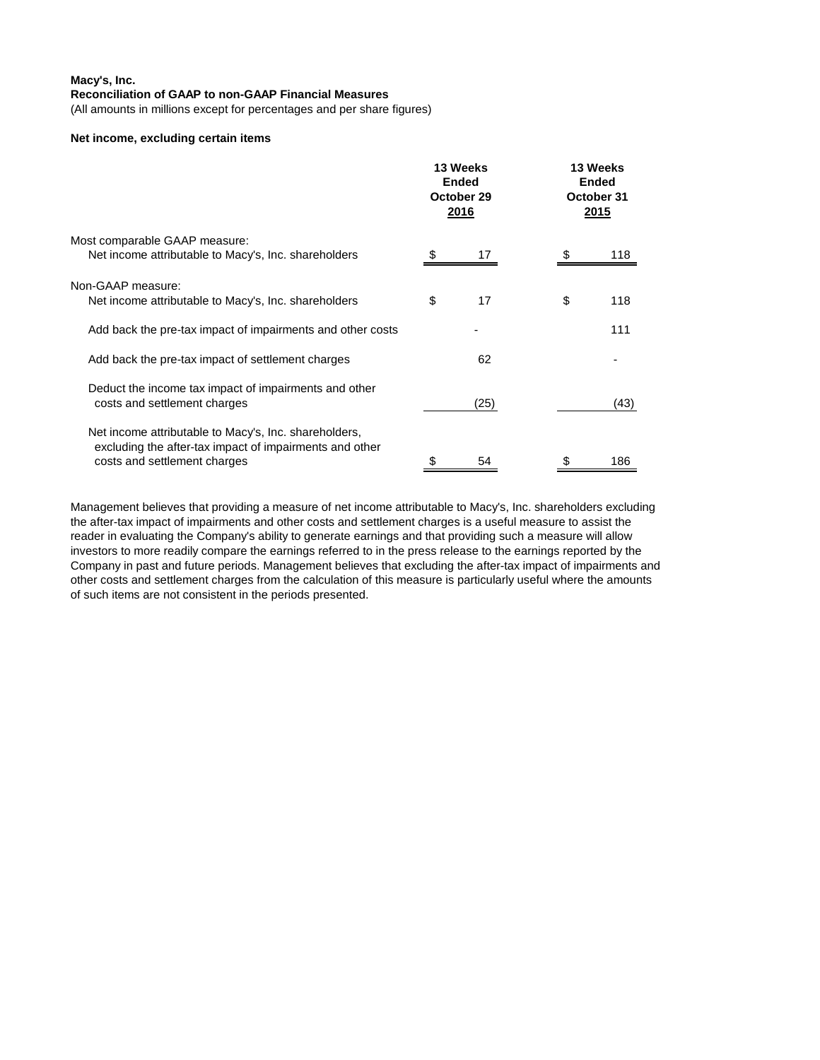(All amounts in millions except for percentages and per share figures)

#### **Net income, excluding certain items**

|                                                                                                                                                  |    | 13 Weeks<br><b>Ended</b><br>October 29<br><u>2016</u> |    | 13 Weeks<br><b>Ended</b><br>October 31<br><u>2015</u> |  |
|--------------------------------------------------------------------------------------------------------------------------------------------------|----|-------------------------------------------------------|----|-------------------------------------------------------|--|
| Most comparable GAAP measure:                                                                                                                    |    |                                                       |    |                                                       |  |
| Net income attributable to Macy's, Inc. shareholders                                                                                             |    | 17                                                    |    | 118                                                   |  |
| Non-GAAP measure:                                                                                                                                |    |                                                       |    |                                                       |  |
| Net income attributable to Macy's, Inc. shareholders                                                                                             | \$ | 17                                                    | \$ | 118                                                   |  |
| Add back the pre-tax impact of impairments and other costs                                                                                       |    |                                                       |    | 111                                                   |  |
| Add back the pre-tax impact of settlement charges                                                                                                |    | 62                                                    |    |                                                       |  |
| Deduct the income tax impact of impairments and other<br>costs and settlement charges                                                            |    | (25)                                                  |    | (43)                                                  |  |
| Net income attributable to Macy's, Inc. shareholders,<br>excluding the after-tax impact of impairments and other<br>costs and settlement charges | \$ | 54                                                    |    | 186                                                   |  |

Management believes that providing a measure of net income attributable to Macy's, Inc. shareholders excluding the after-tax impact of impairments and other costs and settlement charges is a useful measure to assist the reader in evaluating the Company's ability to generate earnings and that providing such a measure will allow investors to more readily compare the earnings referred to in the press release to the earnings reported by the Company in past and future periods. Management believes that excluding the after-tax impact of impairments and other costs and settlement charges from the calculation of this measure is particularly useful where the amounts of such items are not consistent in the periods presented.